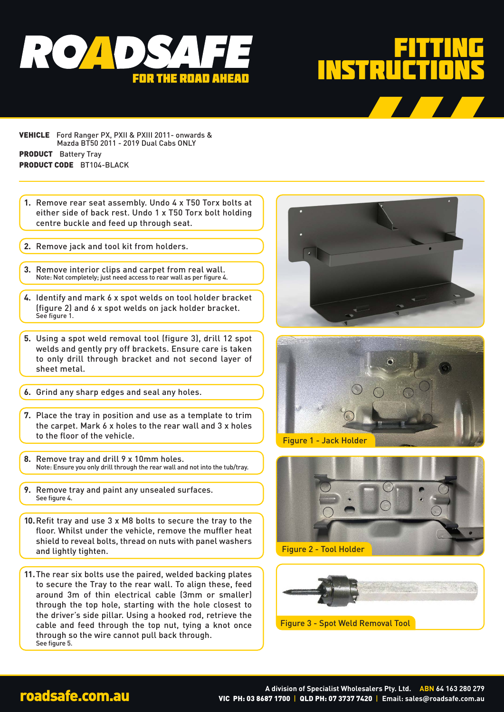



- VEHICLE Ford Ranger PX, PXII & PXIII 2011- onwards & Mazda BT50 2011 - 2019 Dual Cabs ONLY PRODUCT Battery Tray PRODUCT CODE BT104-BLACK
- **1.** Remove rear seat assembly. Undo 4 x T50 Torx bolts at either side of back rest. Undo 1 x T50 Torx bolt holding centre buckle and feed up through seat.
- **2.** Remove jack and tool kit from holders.
- **3.** Remove interior clips and carpet from real wall. Note: Not completely; just need access to rear wall as per figure 4.
- **4.** Identify and mark 6 x spot welds on tool holder bracket (figure 2) and 6 x spot welds on jack holder bracket. See figure 1.
- **5.** Using a spot weld removal tool (figure 3), drill 12 spot welds and gently pry off brackets. Ensure care is taken to only drill through bracket and not second layer of sheet metal.
- **6.** Grind any sharp edges and seal any holes.
- **7.** Place the tray in position and use as a template to trim the carpet. Mark 6 x holes to the rear wall and 3 x holes to the floor of the vehicle.
- **8.** Remove tray and drill 9 x 10mm holes. Note: Ensure you only drill through the rear wall and not into the tub/tray.
- **9.** Remove tray and paint any unsealed surfaces. See figure 4.
- **10.**Refit tray and use 3 x M8 bolts to secure the tray to the floor. Whilst under the vehicle, remove the muffler heat shield to reveal bolts, thread on nuts with panel washers and lightly tighten.
- **11.**The rear six bolts use the paired, welded backing plates to secure the Tray to the rear wall. To align these, feed around 3m of thin electrical cable (3mm or smaller) through the top hole, starting with the hole closest to the driver's side pillar. Using a hooked rod, retrieve the cable and feed through the top nut, tying a knot once through so the wire cannot pull back through. See figure 5.





Figure 1 - Jack Holder





A division of Specialist Wholesalers Pty. Ltd. ABN 64 163 280 279<br>VIC PH: 03 8687 1700 | QLD PH: 07 3737 7420 | Email: sales@roadsafe.com.au VIC PH: 03 8687 1700 | QLD PH: 07 3737